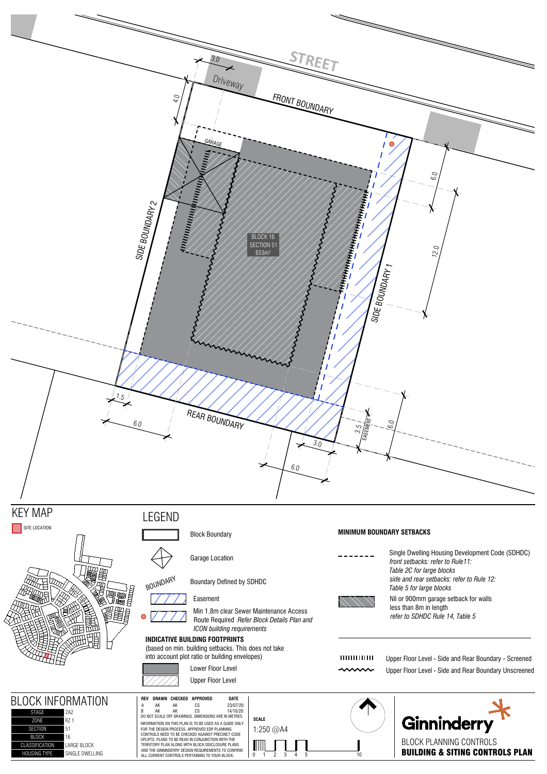